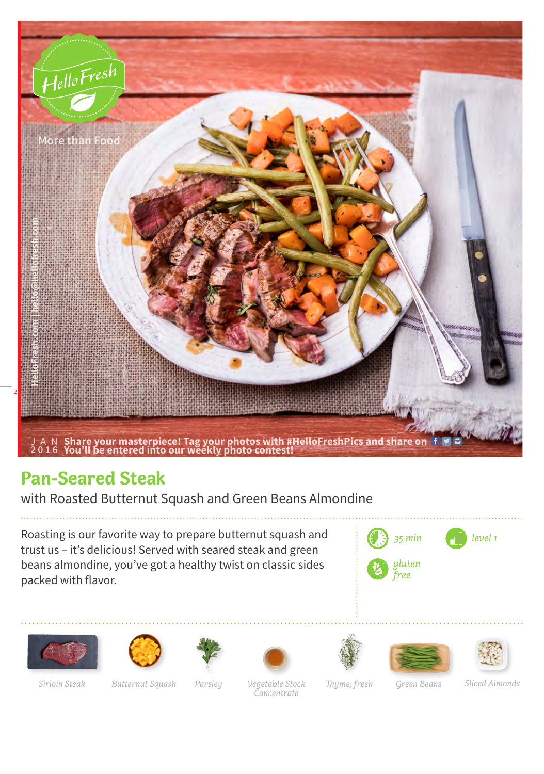

## **Pan-Seared Steak**

with Roasted Butternut Squash and Green Beans Almondine

Roasting is our favorite way to prepare butternut squash and trust us – it's delicious! Served with seared steak and green beans almondine, you've got a healthy twist on classic sides packed with flavor.

















*Parsley*

*Vegetable Stock* Thyme, fresh Green Beans *Concentrate Sirloin Steak Butternut Squash Thyme, fresh Sliced Almonds*